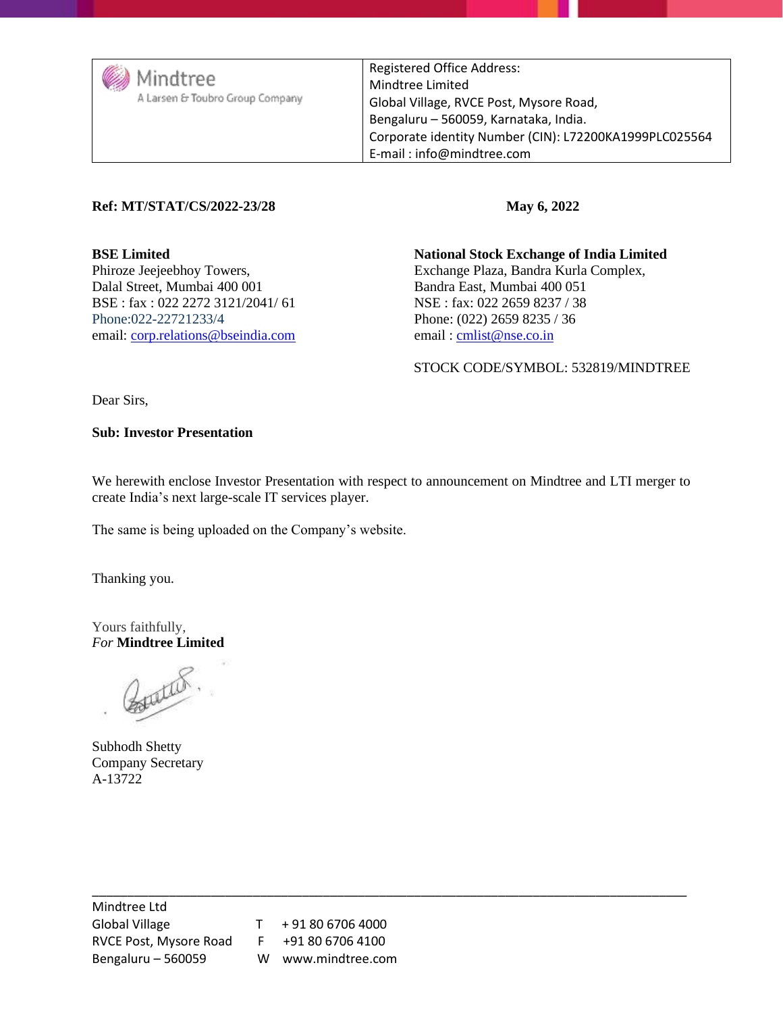| / Mindtree<br>A Larsen & Toubro Group Company | <b>Registered Office Address:</b><br>Mindtree Limited<br>Global Village, RVCE Post, Mysore Road,<br>Bengaluru - 560059, Karnataka, India.<br>Corporate identity Number (CIN): L72200KA1999PLC025564<br>E-mail: info@mindtree.com |
|-----------------------------------------------|----------------------------------------------------------------------------------------------------------------------------------------------------------------------------------------------------------------------------------|
|-----------------------------------------------|----------------------------------------------------------------------------------------------------------------------------------------------------------------------------------------------------------------------------------|

#### **Ref: MT/STAT/CS/2022-23/28 May 6, 2022**

BSE : fax : 022 2272 3121/2041/ 61 NSE : fax: 022 2659 8237 / 38 Phone:022-22721233/4 Phone: (022) 2659 8235 / 36 email: [corp.relations@bseindia.com](mailto:corp.relations@bseindia.com) email : [cmlist@nse.co.in](mailto:cmlist@nse.co.in)

**BSE Limited National Stock Exchange of India Limited** Phiroze Jeejeebhoy Towers,<br>
Dalal Street, Mumbai 400 001 Bandra East, Mumbai 400 051 Bandra East, Mumbai 400 051

STOCK CODE/SYMBOL: 532819/MINDTREE

Dear Sirs,

**Sub: Investor Presentation**

We herewith enclose Investor Presentation with respect to announcement on Mindtree and LTI merger to create India's next large-scale IT services player.

The same is being uploaded on the Company's website.

Thanking you.

Yours faithfully, *For* **Mindtree Limited**

Butter.

Subhodh Shetty Company Secretary A-13722

\_\_\_\_\_\_\_\_\_\_\_\_\_\_\_\_\_\_\_\_\_\_\_\_\_\_\_\_\_\_\_\_\_\_\_\_\_\_\_\_\_\_\_\_\_\_\_\_\_\_\_\_\_\_\_\_\_\_\_\_\_\_\_\_\_\_\_\_\_\_\_\_\_\_\_\_\_\_\_\_\_\_\_\_\_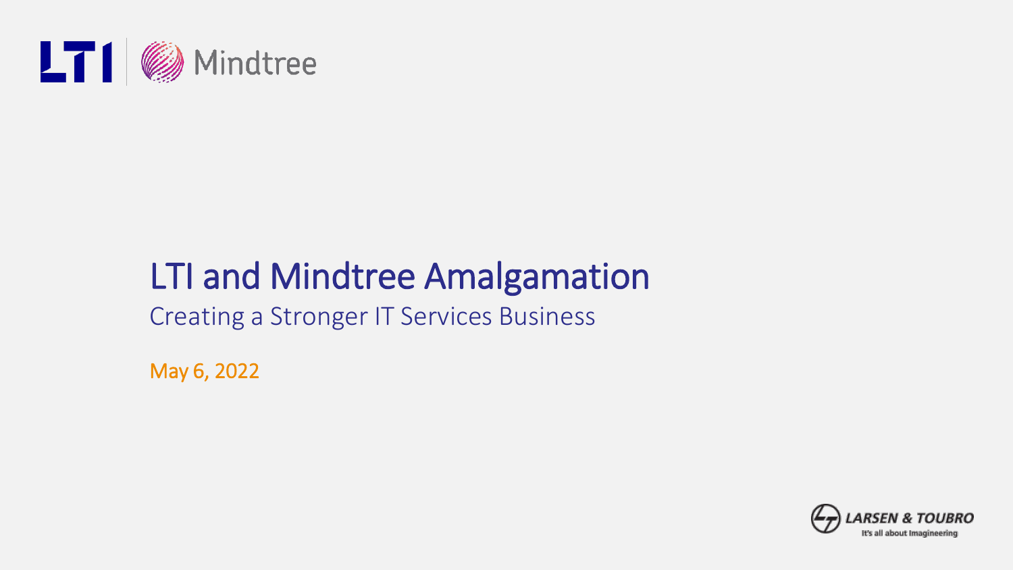

# LTI and Mindtree Amalgamation

Creating a Stronger IT Services Business

May 6, 2022

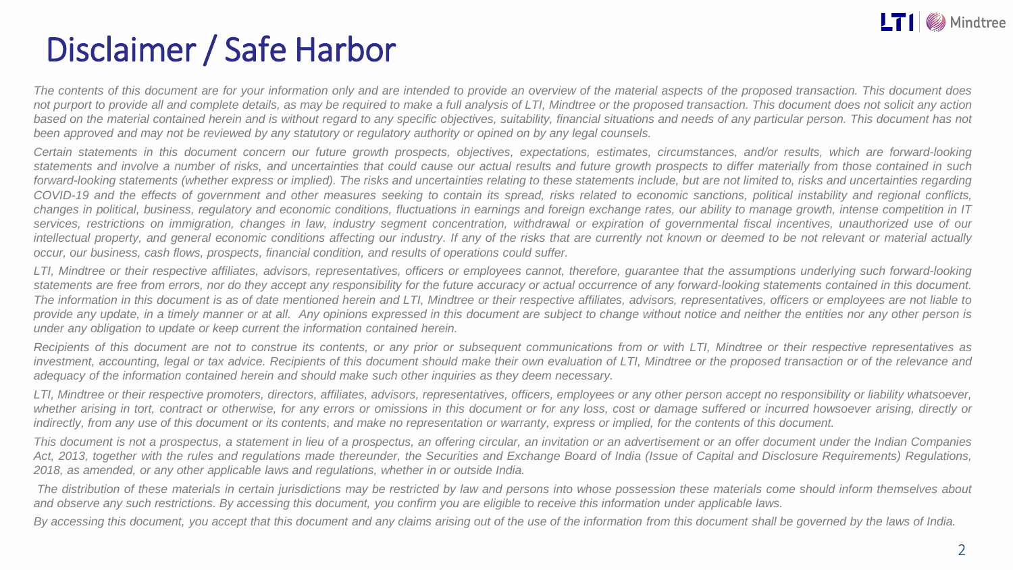

### Disclaimer / Safe Harbor

The contents of this document are for your information only and are intended to provide an overview of the material aspects of the proposed transaction. This document does not purport to provide all and complete details, as may be required to make a full analysis of LTI, Mindtree or the proposed transaction. This document does not solicit any action based on the material contained herein and is without regard to any specific objectives, suitability, financial situations and needs of any particular person. This document has not been approved and may not be reviewed by any statutory or regulatory authority or opined on by any legal counsels.

Certain statements in this document concern our future growth prospects, objectives, expectations, estimates, circumstances, and/or results, which are forward-looking statements and involve a number of risks, and uncertainties that could cause our actual results and future growth prospects to differ materially from those contained in such forward-looking statements (whether express or implied). The risks and uncertainties relating to these statements include, but are not limited to, risks and uncertainties regarding COVID-19 and the effects of government and other measures seeking to contain its spread, risks related to economic sanctions, political instability and regional conflicts. changes in political, business, regulatory and economic conditions, fluctuations in earnings and foreign exchange rates, our ability to manage growth, intense competition in IT services, restrictions on immigration, changes in law, industry segment concentration, withdrawal or expiration of governmental fiscal incentives, unauthorized use of our intellectual property, and general economic conditions affecting our industry. If any of the risks that are currently not known or deemed to be not relevant or material actually *occur, our business, cash flows, prospects, financial condition, and results of operations could suffer.*

LTI. Mindtree or their respective affiliates, advisors, representatives, officers or emplovees cannot, therefore, quarantee that the assumptions underlying such forward-looking statements are free from errors, nor do they accept any responsibility for the future accuracy or actual occurrence of any forward-looking statements contained in this document. The information in this document is as of date mentioned herein and LTI. Mindtree or their respective affiliates, advisors, representatives, officers or emplovees are not liable to provide any update, in a timely manner or at all. Any opinions expressed in this document are subject to change without notice and neither the entities nor any other person is *under any obligation to update or keep current the information contained herein.*

Recipients of this document are not to construe its contents, or any prior or subsequent communications from or with LTI. Mindtree or their respective representatives as investment, accounting, legal or tax advice. Recipients of this document should make their own evaluation of LTI, Mindtree or the proposed transaction or of the relevance and *adequacy of the information contained herein and should make such other inquiries as they deem necessary.*

LTI, Mindtree or their respective promoters, directors, affiliates, advisors, representatives, officers, employees or any other person accept no responsibility or liability whatsoever, whether arising in tort, contract or otherwise, for any errors or omissions in this document or for any loss, cost or damage suffered or incurred howsoever arising, directly or indirectly, from any use of this document or its contents, and make no representation or warranty, express or implied, for the contents of this document,

This document is not a prospectus, a statement in lieu of a prospectus, an offering circular, an invitation or an advertisement or an offer document under the Indian Companies Act, 2013, together with the rules and regulations made thereunder, the Securities and Exchange Board of India (Issue of Capital and Disclosure Requirements) Regulations, *2018, as amended, or any other applicable laws and regulations, whether in or outside India.*

The distribution of these materials in certain jurisdictions may be restricted by law and persons into whose possession these materials come should inform themselves about and observe any such restrictions. By accessing this document, you confirm you are eligible to receive this information under applicable laws.

By accessing this document, you accept that this document and any claims arising out of the use of the information from this document shall be governed by the laws of India.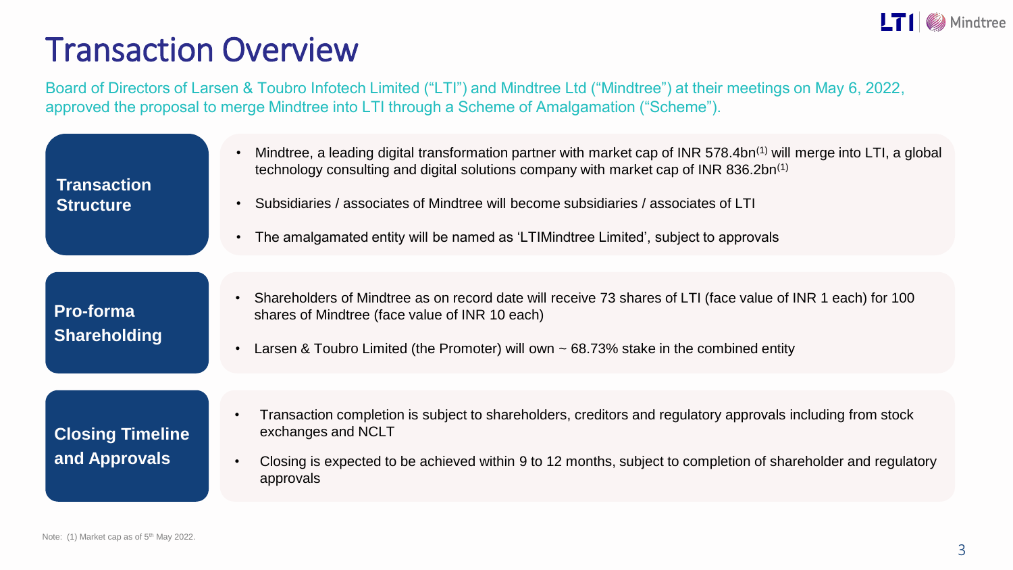

#### Transaction Overview

Board of Directors of Larsen & Toubro Infotech Limited ("LTI") and Mindtree Ltd ("Mindtree") at their meetings on May 6, 2022, approved the proposal to merge Mindtree into LTI through a Scheme of Amalgamation ("Scheme").

| <b>Transaction</b><br><b>Structure</b>   | Mindtree, a leading digital transformation partner with market cap of INR 578.4bn <sup>(1)</sup> will merge into LTI, a global<br>technology consulting and digital solutions company with market cap of INR 836.2bn <sup>(1)</sup><br>Subsidiaries / associates of Mindtree will become subsidiaries / associates of LTI<br>The amalgamated entity will be named as 'LTIMindtree Limited', subject to approvals |
|------------------------------------------|------------------------------------------------------------------------------------------------------------------------------------------------------------------------------------------------------------------------------------------------------------------------------------------------------------------------------------------------------------------------------------------------------------------|
| Pro-forma<br><b>Shareholding</b>         | Shareholders of Mindtree as on record date will receive 73 shares of LTI (face value of INR 1 each) for 100<br>shares of Mindtree (face value of INR 10 each)<br>Larsen & Toubro Limited (the Promoter) will own $\sim$ 68.73% stake in the combined entity                                                                                                                                                      |
| <b>Closing Timeline</b><br>and Approvals | Transaction completion is subject to shareholders, creditors and regulatory approvals including from stock<br>exchanges and NCLT<br>Closing is expected to be achieved within 9 to 12 months, subject to completion of shareholder and regulatory<br>approvals                                                                                                                                                   |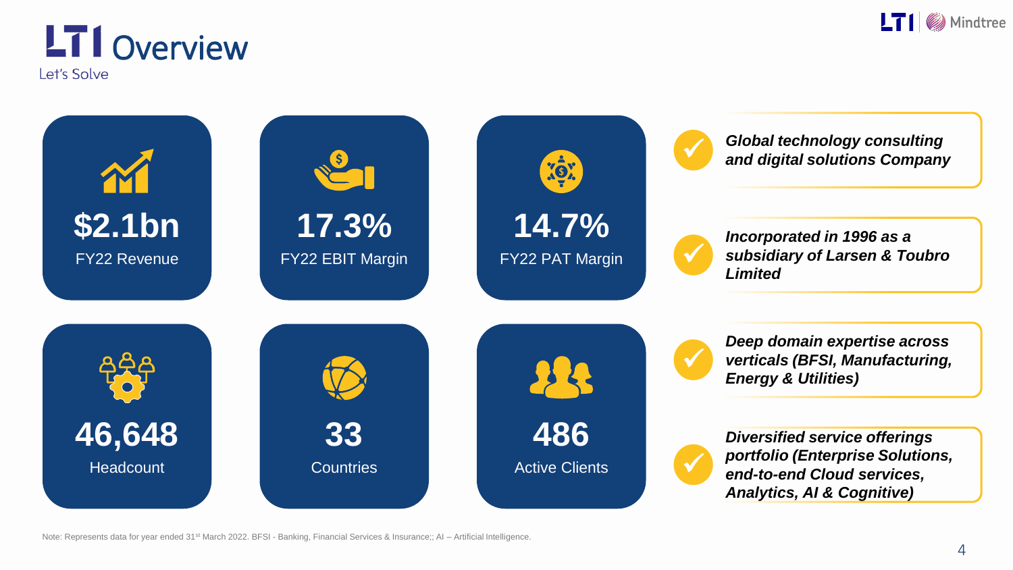

#### **LT1** Overview Let's Solve



Note: Represents data for year ended 31<sup>st</sup> March 2022. BFSI - Banking, Financial Services & Insurance;; AI – Artificial Intelligence.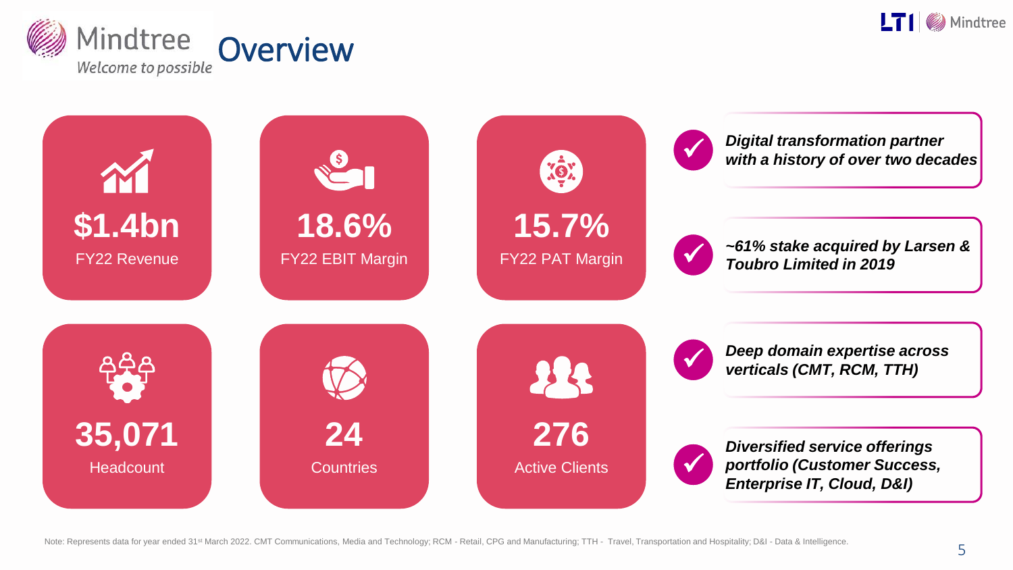



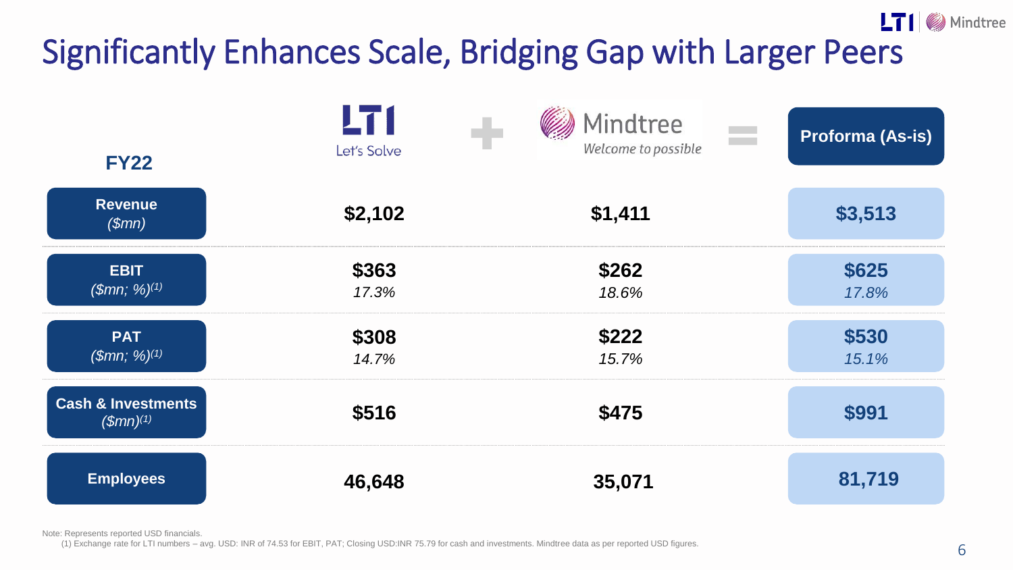# Significantly Enhances Scale, Bridging Gap with Larger Peers

|                                                            | LT 1<br>Let's Solve | <b>Mindtree</b><br>$\overline{\phantom{a}}$<br>Welcome to possible | Proforma (As-is) |
|------------------------------------------------------------|---------------------|--------------------------------------------------------------------|------------------|
| <b>FY22</b>                                                |                     |                                                                    |                  |
| <b>Revenue</b><br>$(\$mn)$                                 | \$2,102             | \$1,411                                                            | \$3,513          |
| <b>EBIT</b>                                                | \$363               | \$262                                                              | \$625            |
| (Smn; %)(1)                                                | 17.3%               | 18.6%                                                              | 17.8%            |
| <b>PAT</b>                                                 | \$308               | \$222                                                              | \$530            |
| (Smn; %)(1)                                                | 14.7%               | 15.7%                                                              | 15.1%            |
| <b>Cash &amp; Investments</b><br>$\sqrt{\text{Smn}}^{(1)}$ | \$516               | \$475                                                              | \$991            |
| <b>Employees</b>                                           | 46,648              | 35,071                                                             | 81,719           |

Note: Represents reported USD financials.

(1) Exchange rate for LTI numbers – avg. USD: INR of 74.53 for EBIT, PAT; Closing USD:INR 75.79 for cash and investments. Mindtree data as per reported USD figures.

 $LT1$  Mindtree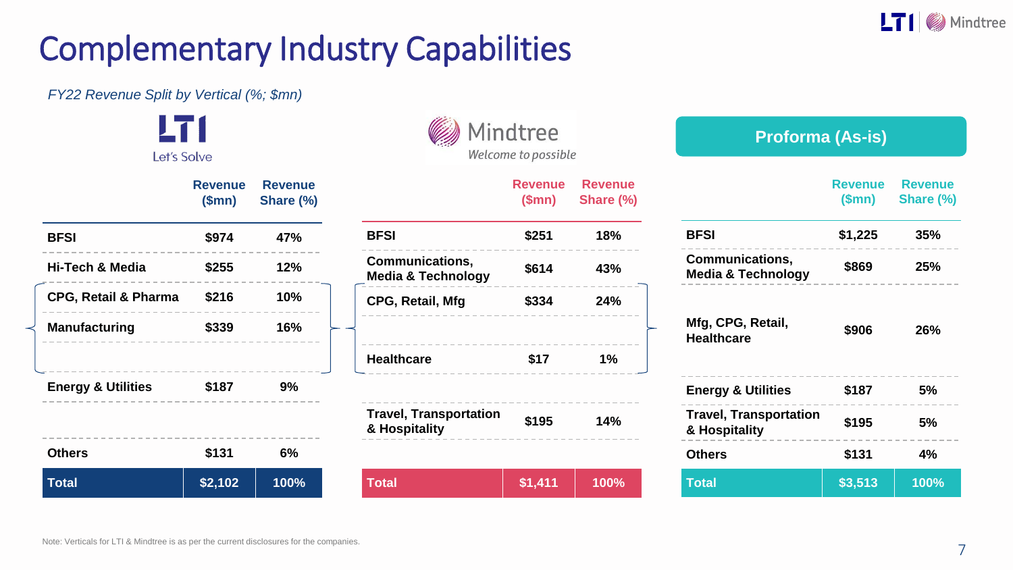

#### Complementary Industry Capabilities

*FY22 Revenue Split by Vertical (%; \$mn)*

I 71

| Let's Solve                   |                   |                             |
|-------------------------------|-------------------|-----------------------------|
|                               | Revenue<br>(\$mn) | <b>Revenue</b><br>Share (%) |
| <b>BFSI</b>                   | \$974             | 47%                         |
| Hi-Tech & Media               | \$255             | 12%                         |
| CPG, Retail & Pharma \$216    |                   | 10%                         |
| <b>Manufacturing</b>          | \$339             | 16%                         |
| <b>Energy &amp; Utilities</b> | \$187             | 9%                          |
| <b>Others</b>                 | \$131             | 6%                          |
| <b>Total</b>                  | \$2,102           | 100%                        |

|                                                | Mindtree<br>Welcome to possible |                             |  |
|------------------------------------------------|---------------------------------|-----------------------------|--|
|                                                | Revenue<br>(\$mn)               | <b>Revenue</b><br>Share (%) |  |
| BFSI                                           | \$251                           | 18%                         |  |
| Communications,<br>Media & Technology          | \$614                           | 43%                         |  |
| CPG, Retail, Mfg                               | \$334                           | 24%                         |  |
| <b>Healthcare</b>                              | \$17                            | 1%                          |  |
| <b>Travel, Transportation</b><br>& Hospitality | \$195                           | 14%                         |  |
|                                                |                                 |                             |  |

**CONTRACTOR** 

 $m_{\lambda}$ 

**Total \$1,411 100%** 

| <b>Proforma (As-is)</b>                          |                   |                             |  |
|--------------------------------------------------|-------------------|-----------------------------|--|
|                                                  | Revenue<br>(\$mn) | <b>Revenue</b><br>Share (%) |  |
| <b>BFSI</b>                                      | \$1,225           | 35%                         |  |
| Communications,<br><b>Media &amp; Technology</b> | \$869             | 25%                         |  |
| Mfg, CPG, Retail,<br><b>Healthcare</b>           | \$906             | 26%                         |  |
| <b>Energy &amp; Utilities</b>                    | \$187             | 5%                          |  |
| <b>Travel, Transportation</b><br>& Hospitality   | \$195             | 5%                          |  |
| Others                                           | \$131             | 4%                          |  |
| <b>Total</b>                                     | \$3,513           | 100%                        |  |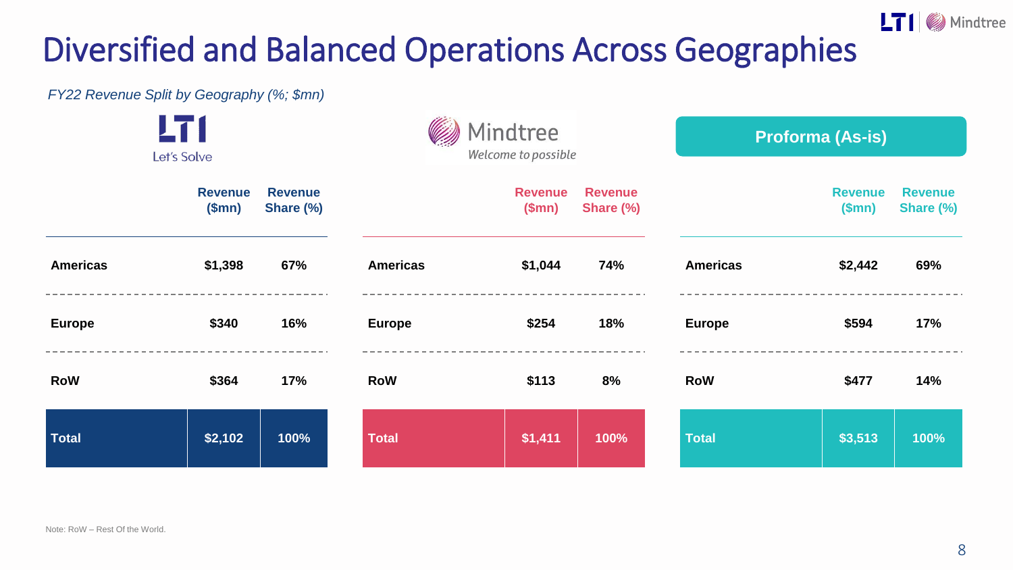## Diversified and Balanced Operations Across Geographies

*FY22 Revenue Split by Geography (%; \$mn)*

|               | LT 1<br>Let's Solve     |                             |                 | Mindtree<br>Welcome to possible |                             |                 | <b>Proforma (As-is)</b> |                             |
|---------------|-------------------------|-----------------------------|-----------------|---------------------------------|-----------------------------|-----------------|-------------------------|-----------------------------|
|               | <b>Revenue</b><br>\$mn) | <b>Revenue</b><br>Share (%) |                 | <b>Revenue</b><br>\$mn)         | <b>Revenue</b><br>Share (%) |                 | <b>Revenue</b><br>(Smn) | <b>Revenue</b><br>Share (%) |
| Americas      | \$1,398                 | 67%                         | <b>Americas</b> | \$1,044                         | 74%                         | <b>Americas</b> | \$2,442                 | 69%                         |
| <b>Europe</b> | \$340                   | 16%                         | <b>Europe</b>   | \$254                           | 18%                         | <b>Europe</b>   | \$594                   | 17%                         |
| RoW           | \$364                   | 17%                         | <b>RoW</b>      | \$113                           | 8%                          | <b>RoW</b>      | \$477                   | 14%                         |
| <b>Total</b>  | \$2,102                 | 100%                        | Total           | \$1,411                         | 100%                        | Total           | \$3,513                 | 100%                        |

LTI Mindtree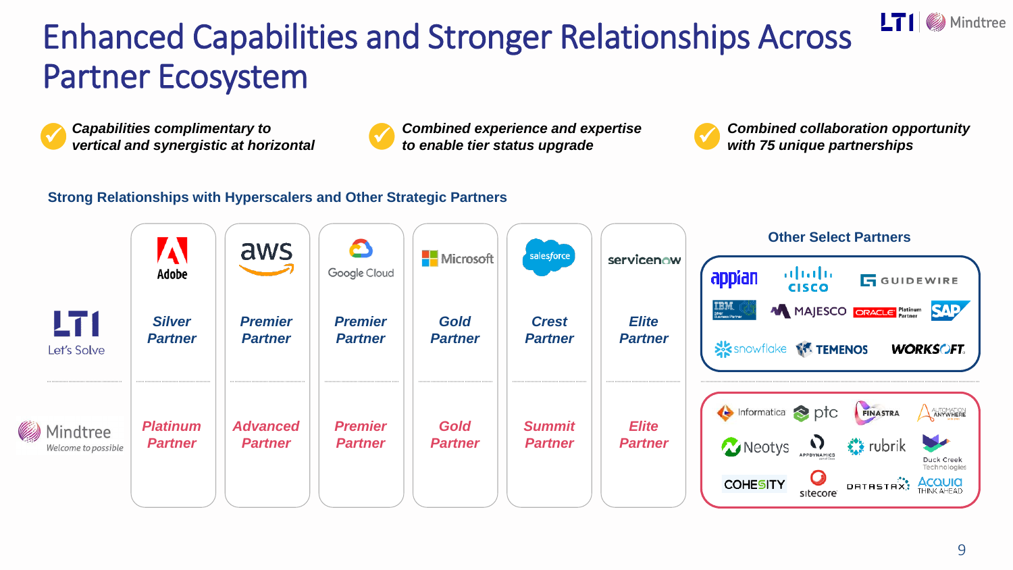## Enhanced Capabilities and Stronger Relationships Across Partner Ecosystem



*Capabilities complimentary to* 



*Combined experience and expertise* ✓ *to enable tier status upgrade*



**vertical and synergistic at horizontal vertical and Solution Combined experience and expertise vertical and synergistic at horizontal vertical and synergistic at horizontal vertical and synergistic at horizontal vertical** 

 $LT1$  Mindtree

#### **Strong Relationships with Hyperscalers and Other Strategic Partners**

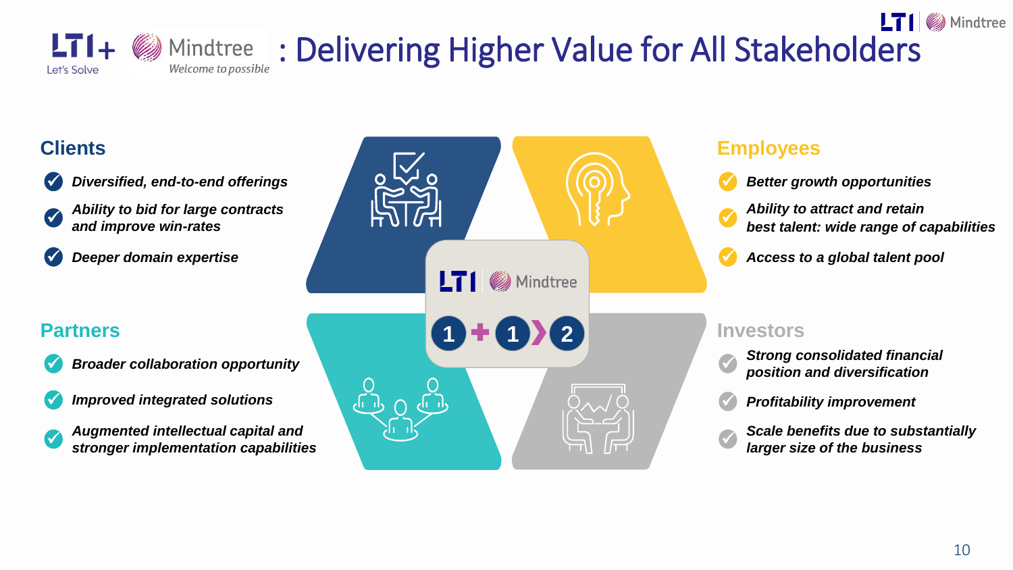

#### $LT$   $\blacksquare$  Mindtree  $LT_{\text{L}} + \text{M}_{\text{M}}$  Mindtree : Delivering Higher Value for All Stakeholders

#### **Clients**

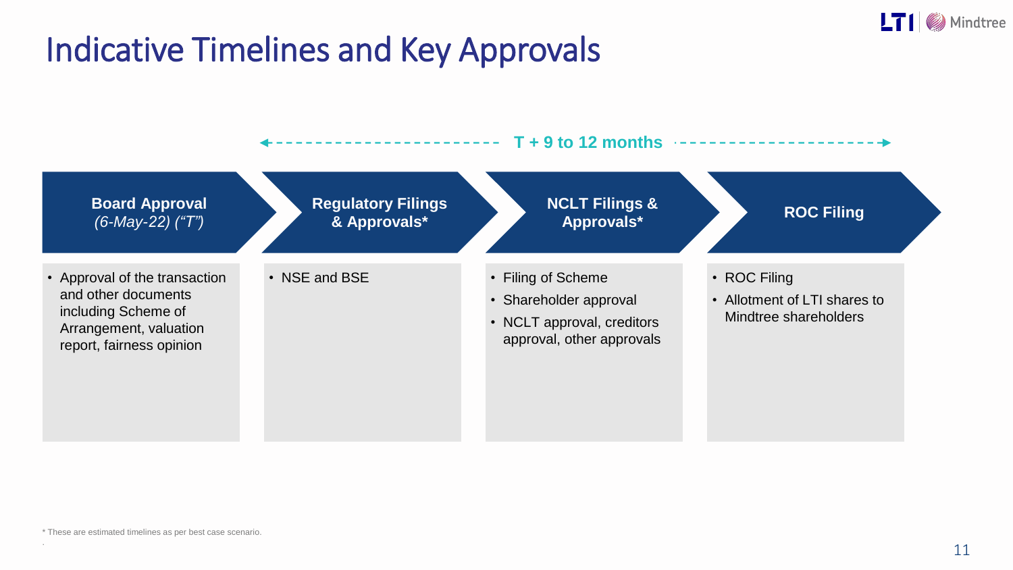

#### Indicative Timelines and Key Approvals

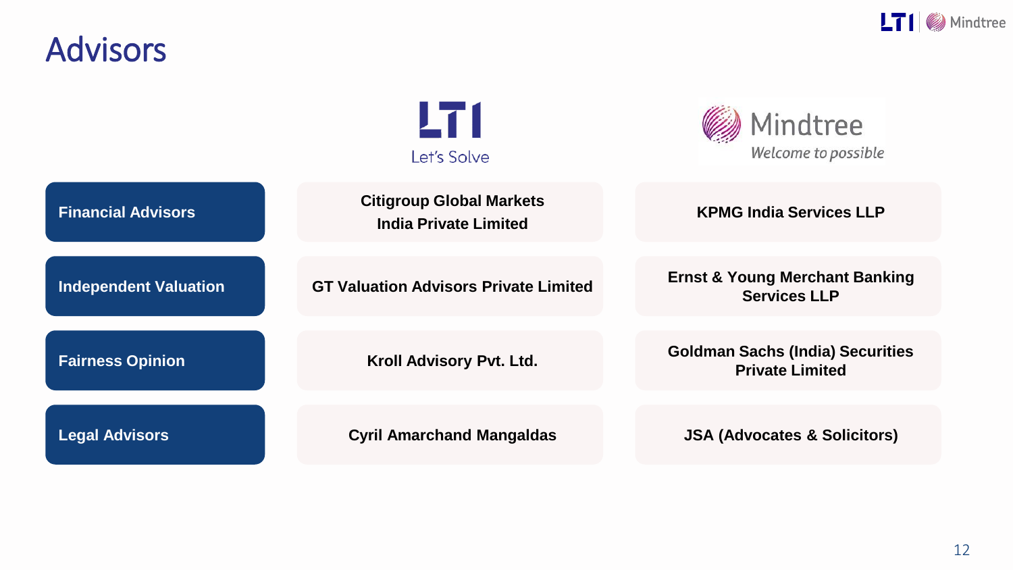

#### Advisors

|                              | LT 1<br>Let's Solve                                             | Mindtree<br>Welcome to possible                                   |
|------------------------------|-----------------------------------------------------------------|-------------------------------------------------------------------|
| <b>Financial Advisors</b>    | <b>Citigroup Global Markets</b><br><b>India Private Limited</b> | <b>KPMG India Services LLP</b>                                    |
| <b>Independent Valuation</b> | <b>GT Valuation Advisors Private Limited</b>                    | <b>Ernst &amp; Young Merchant Banking</b><br><b>Services LLP</b>  |
| <b>Fairness Opinion</b>      | Kroll Advisory Pvt. Ltd.                                        | <b>Goldman Sachs (India) Securities</b><br><b>Private Limited</b> |
| <b>Legal Advisors</b>        | <b>Cyril Amarchand Mangaldas</b>                                | <b>JSA (Advocates &amp; Solicitors)</b>                           |